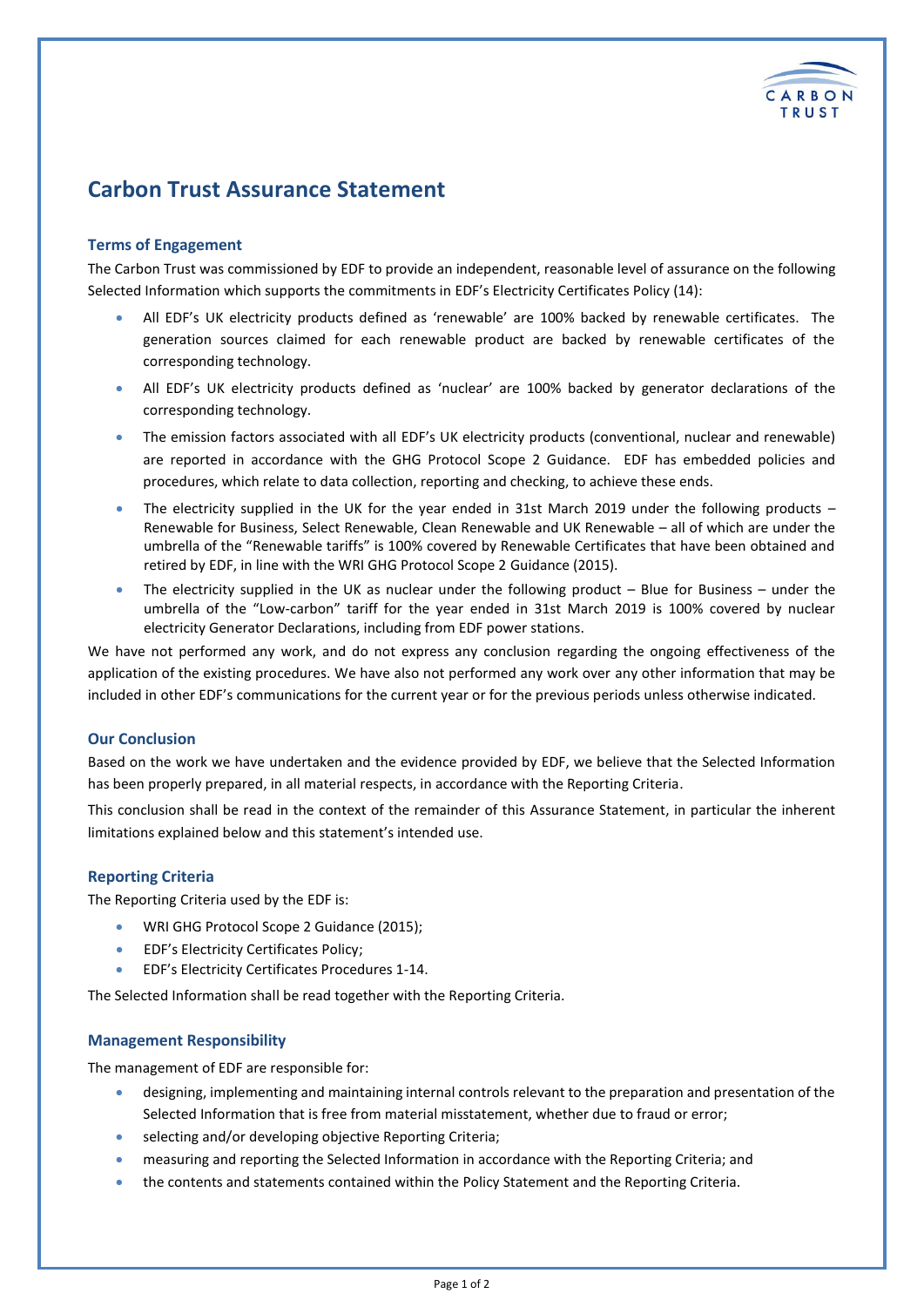

# **Carbon Trust Assurance Statement**

# **Terms of Engagement**

The Carbon Trust was commissioned by EDF to provide an independent, reasonable level of assurance on the following Selected Information which supports the commitments in EDF's Electricity Certificates Policy (14):

- All EDF's UK electricity products defined as 'renewable' are 100% backed by renewable certificates. The generation sources claimed for each renewable product are backed by renewable certificates of the corresponding technology.
- All EDF's UK electricity products defined as 'nuclear' are 100% backed by generator declarations of the corresponding technology.
- The emission factors associated with all EDF's UK electricity products (conventional, nuclear and renewable) are reported in accordance with the GHG Protocol Scope 2 Guidance. EDF has embedded policies and procedures, which relate to data collection, reporting and checking, to achieve these ends.
- The electricity supplied in the UK for the year ended in 31st March 2019 under the following products Renewable for Business, Select Renewable, Clean Renewable and UK Renewable – all of which are under the umbrella of the "Renewable tariffs" is 100% covered by Renewable Certificates that have been obtained and retired by EDF, in line with the WRI GHG Protocol Scope 2 Guidance (2015).
- The electricity supplied in the UK as nuclear under the following product Blue for Business under the umbrella of the "Low-carbon" tariff for the year ended in 31st March 2019 is 100% covered by nuclear electricity Generator Declarations, including from EDF power stations.

We have not performed any work, and do not express any conclusion regarding the ongoing effectiveness of the application of the existing procedures. We have also not performed any work over any other information that may be included in other EDF's communications for the current year or for the previous periods unless otherwise indicated.

# **Our Conclusion**

Based on the work we have undertaken and the evidence provided by EDF, we believe that the Selected Information has been properly prepared, in all material respects, in accordance with the Reporting Criteria.

This conclusion shall be read in the context of the remainder of this Assurance Statement, in particular the inherent limitations explained below and this statement's intended use.

# **Reporting Criteria**

The Reporting Criteria used by the EDF is:

- WRI GHG Protocol Scope 2 Guidance (2015);
- EDF's Electricity Certificates Policy;
- EDF's Electricity Certificates Procedures 1-14.

The Selected Information shall be read together with the Reporting Criteria.

## **Management Responsibility**

The management of EDF are responsible for:

- designing, implementing and maintaining internal controls relevant to the preparation and presentation of the Selected Information that is free from material misstatement, whether due to fraud or error;
- selecting and/or developing objective Reporting Criteria;
- measuring and reporting the Selected Information in accordance with the Reporting Criteria; and
- the contents and statements contained within the Policy Statement and the Reporting Criteria.